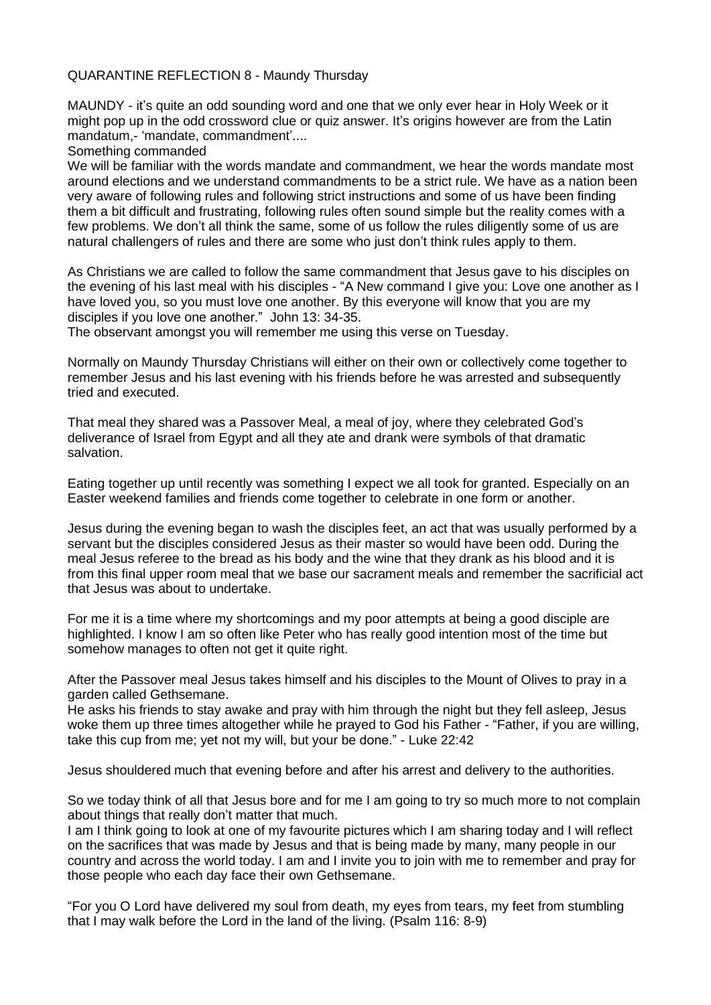## QUARANTINE REFLECTION 8 - Maundy Thursday

MAUNDY - it's quite an odd sounding word and one that we only ever hear in Holy Week or it might pop up in the odd crossword clue or quiz answer. It's origins however are from the Latin mandatum,- 'mandate, commandment'....

Something commanded

We will be familiar with the words mandate and commandment, we hear the words mandate most around elections and we understand commandments to be a strict rule. We have as a nation been very aware of following rules and following strict instructions and some of us have been finding them a bit difficult and frustrating, following rules often sound simple but the reality comes with a few problems. We don't all think the same, some of us follow the rules diligently some of us are natural challengers of rules and there are some who just don't think rules apply to them.

As Christians we are called to follow the same commandment that Jesus gave to his disciples on the evening of his last meal with his disciples - "A New command I give you: Love one another as I have loved you, so you must love one another. By this everyone will know that you are my disciples if you love one another." John 13: 34-35.

The observant amongst you will remember me using this verse on Tuesday.

Normally on Maundy Thursday Christians will either on their own or collectively come together to remember Jesus and his last evening with his friends before he was arrested and subsequently tried and executed.

That meal they shared was a Passover Meal, a meal of joy, where they celebrated God's deliverance of Israel from Egypt and all they ate and drank were symbols of that dramatic salvation.

Eating together up until recently was something I expect we all took for granted. Especially on an Easter weekend families and friends come together to celebrate in one form or another.

Jesus during the evening began to wash the disciples feet, an act that was usually performed by a servant but the disciples considered Jesus as their master so would have been odd. During the meal Jesus referee to the bread as his body and the wine that they drank as his blood and it is from this final upper room meal that we base our sacrament meals and remember the sacrificial act that Jesus was about to undertake.

For me it is a time where my shortcomings and my poor attempts at being a good disciple are highlighted. I know I am so often like Peter who has really good intention most of the time but somehow manages to often not get it quite right.

After the Passover meal Jesus takes himself and his disciples to the Mount of Olives to pray in a garden called Gethsemane.

He asks his friends to stay awake and pray with him through the night but they fell asleep, Jesus woke them up three times altogether while he prayed to God his Father - "Father, if you are willing, take this cup from me; yet not my will, but your be done." - Luke 22:42

Jesus shouldered much that evening before and after his arrest and delivery to the authorities.

So we today think of all that Jesus bore and for me I am going to try so much more to not complain about things that really don't matter that much.

I am I think going to look at one of my favourite pictures which I am sharing today and I will reflect on the sacrifices that was made by Jesus and that is being made by many, many people in our country and across the world today. I am and I invite you to join with me to remember and pray for those people who each day face their own Gethsemane.

"For you O Lord have delivered my soul from death, my eyes from tears, my feet from stumbling that I may walk before the Lord in the land of the living. (Psalm 116: 8-9)